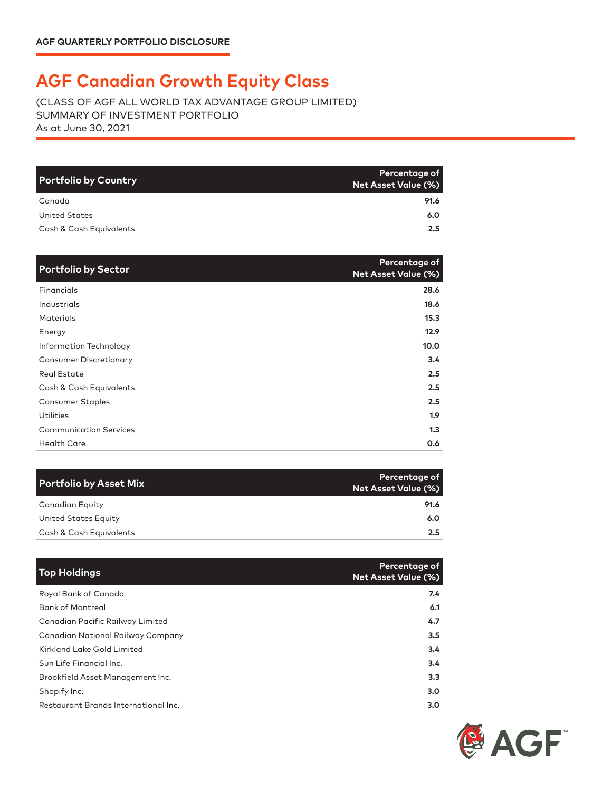## **AGF Canadian Growth Equity Class**

(CLASS OF AGF ALL WORLD TAX ADVANTAGE GROUP LIMITED) SUMMARY OF INVESTMENT PORTFOLIO As at June 30, 2021

| <b>Portfolio by Country</b> | Percentage of<br>Net Asset Value (%) |
|-----------------------------|--------------------------------------|
| Canada                      | 91.6                                 |
| <b>United States</b>        | 6.0                                  |
| Cash & Cash Equivalents     | 2.5                                  |

| <b>Portfolio by Sector</b>    | Percentage of<br>Net Asset Value (%) |
|-------------------------------|--------------------------------------|
| Financials                    | 28.6                                 |
| <b>Industrials</b>            | 18.6                                 |
| <b>Materials</b>              | 15.3                                 |
| Energy                        | 12.9                                 |
| Information Technology        | 10.0                                 |
| <b>Consumer Discretionary</b> | 3.4                                  |
| <b>Real Estate</b>            | 2.5                                  |
| Cash & Cash Equivalents       | 2.5                                  |
| Consumer Staples              | 2.5                                  |
| <b>Utilities</b>              | 1.9 <sup>2</sup>                     |
| <b>Communication Services</b> | 1.3                                  |
| <b>Health Care</b>            | 0.6                                  |

| <b>Portfolio by Asset Mix</b> | Percentage of<br>Net Asset Value (%) |
|-------------------------------|--------------------------------------|
| Canadian Equity               | 91.6                                 |
| United States Equity          | 6.0                                  |
| Cash & Cash Equivalents       | 2.5                                  |

| <b>Top Holdings</b>                      | Percentage of<br><b>Net Asset Value (%)</b> |
|------------------------------------------|---------------------------------------------|
| Royal Bank of Canada                     | 7.4                                         |
| <b>Bank of Montreal</b>                  | 6.1                                         |
| Canadian Pacific Railway Limited         | 4.7                                         |
| <b>Canadian National Railway Company</b> | 3.5                                         |
| Kirkland Lake Gold Limited               | 3.4                                         |
| Sun Life Financial Inc.                  | 3.4                                         |
| Brookfield Asset Management Inc.         | 3.3                                         |
| Shopify Inc.                             | 3.0                                         |
| Restaurant Brands International Inc.     | 3.0                                         |